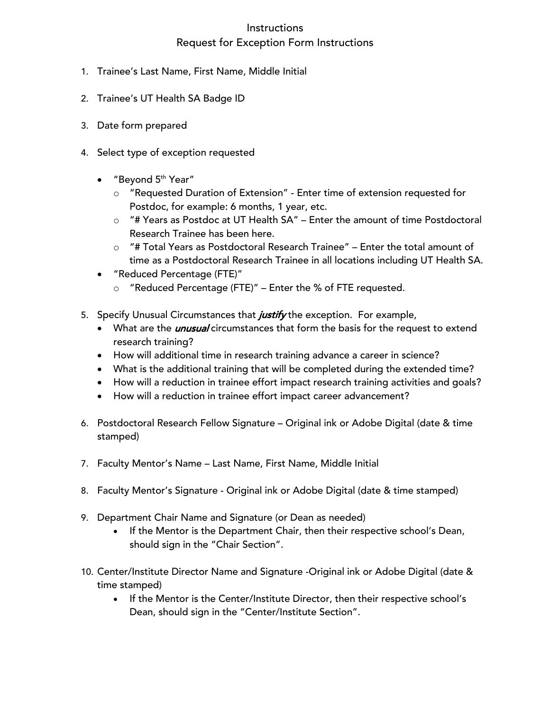## **Instructions**

## Request for Exception Form Instructions

- 1. Trainee's Last Name, First Name, Middle Initial
- 2. Trainee's UT Health SA Badge ID
- 3. Date form prepared
- 4. Select type of exception requested
	- $\bullet$  "Beyond  $5<sup>th</sup>$  Year"
		- o "Requested Duration of Extension" Enter time of extension requested for Postdoc, for example: 6 months, 1 year, etc.
		- o "# Years as Postdoc at UT Health SA" Enter the amount of time Postdoctoral Research Trainee has been here.
		- o "# Total Years as Postdoctoral Research Trainee" Enter the total amount of time as a Postdoctoral Research Trainee in all locations including UT Health SA.
	- "Reduced Percentage (FTE)"
		- o "Reduced Percentage (FTE)" Enter the % of FTE requested.
- 5. Specify Unusual Circumstances that *justify* the exception. For example,
	- What are the *unusual* circumstances that form the basis for the request to extend research training?
	- How will additional time in research training advance a career in science?
	- What is the additional training that will be completed during the extended time?
	- How will a reduction in trainee effort impact research training activities and goals?
	- How will a reduction in trainee effort impact career advancement?
- 6. Postdoctoral Research Fellow Signature Original ink or Adobe Digital (date & time stamped)
- 7. Faculty Mentor's Name Last Name, First Name, Middle Initial
- 8. Faculty Mentor's Signature Original ink or Adobe Digital (date & time stamped)
- 9. Department Chair Name and Signature (or Dean as needed)
	- If the Mentor is the Department Chair, then their respective school's Dean, should sign in the "Chair Section".
- 10. Center/Institute Director Name and Signature -Original ink or Adobe Digital (date & time stamped)
	- If the Mentor is the Center/Institute Director, then their respective school's Dean, should sign in the "Center/Institute Section".